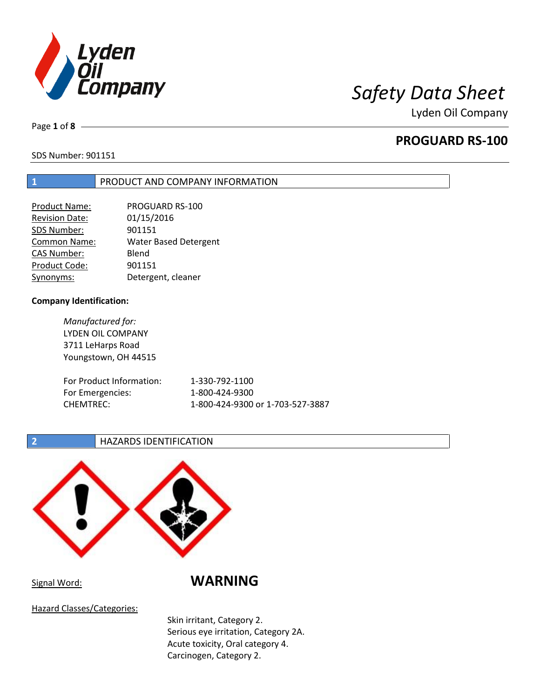

Page **1** of **8**

# **PROGUARD RS-100**

SDS Number: 901151

### **1** PRODUCT AND COMPANY INFORMATION

| Product Name:         | PROGUARD RS-100              |
|-----------------------|------------------------------|
| <b>Revision Date:</b> | 01/15/2016                   |
| SDS Number:           | 901151                       |
| Common Name:          | <b>Water Based Detergent</b> |
| <b>CAS Number:</b>    | Blend                        |
| Product Code:         | 901151                       |
| Synonyms:             | Detergent, cleaner           |

### **Company Identification:**

*Manufactured for:* LYDEN OIL COMPANY 3711 LeHarps Road Youngstown, OH 44515

| For Product Information: | 1-330-792-1100                   |
|--------------------------|----------------------------------|
| For Emergencies:         | 1-800-424-9300                   |
| CHEMTREC:                | 1-800-424-9300 or 1-703-527-3887 |

**2 HAZARDS IDENTIFICATION** 



## Signal Word: **WARNING**

Hazard Classes/Categories:

Skin irritant, Category 2. Serious eye irritation, Category 2A. Acute toxicity, Oral category 4. Carcinogen, Category 2.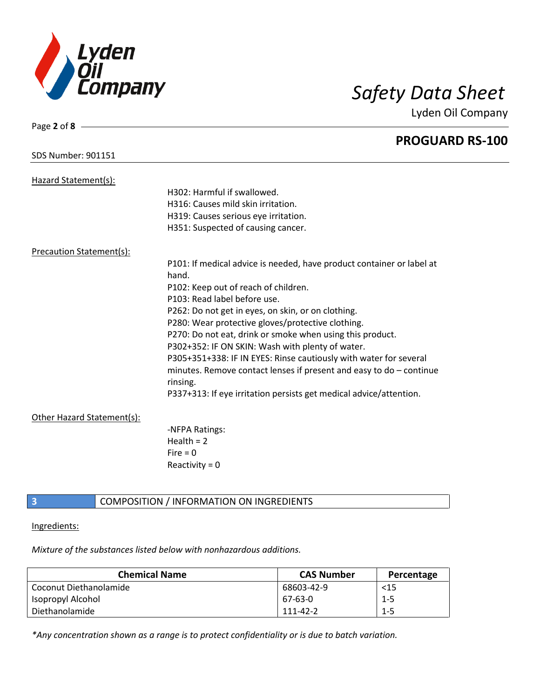

Page **2** of **8**

Lyden Oil Company

|                                 | <b>PROGUARD RS-100</b>                                                |
|---------------------------------|-----------------------------------------------------------------------|
| <b>SDS Number: 901151</b>       |                                                                       |
| Hazard Statement(s):            |                                                                       |
|                                 | H302: Harmful if swallowed.                                           |
|                                 | H316: Causes mild skin irritation.                                    |
|                                 | H319: Causes serious eye irritation.                                  |
|                                 | H351: Suspected of causing cancer.                                    |
| <b>Precaution Statement(s):</b> |                                                                       |
|                                 | P101: If medical advice is needed, have product container or label at |
|                                 | hand.                                                                 |
|                                 | P102: Keep out of reach of children.                                  |
|                                 | P103: Read label before use.                                          |
|                                 | P262: Do not get in eyes, on skin, or on clothing.                    |
|                                 | P280: Wear protective gloves/protective clothing.                     |
|                                 | P270: Do not eat, drink or smoke when using this product.             |
|                                 | P302+352: IF ON SKIN: Wash with plenty of water.                      |
|                                 | P305+351+338: IF IN EYES: Rinse cautiously with water for several     |
|                                 | minutes. Remove contact lenses if present and easy to $do$ – continue |
|                                 | rinsing.                                                              |
|                                 | P337+313: If eye irritation persists get medical advice/attention.    |
| Other Hazard Statement(s):      |                                                                       |
|                                 | -NFPA Ratings:                                                        |
|                                 | Health $= 2$                                                          |
|                                 | $Fire = 0$                                                            |
|                                 | Reactivity = $0$                                                      |
|                                 |                                                                       |

# **3** COMPOSITION / INFORMATION ON INGREDIENTS

Ingredients:

*Mixture of the substances listed below with nonhazardous additions.*

| <b>CAS Number</b> | Percentage |
|-------------------|------------|
| 68603-42-9        | $<$ 15     |
| 67-63-0           | $1 - 5$    |
| 111-42-2          | $1 - 5$    |
|                   |            |

*\*Any concentration shown as a range is to protect confidentiality or is due to batch variation.*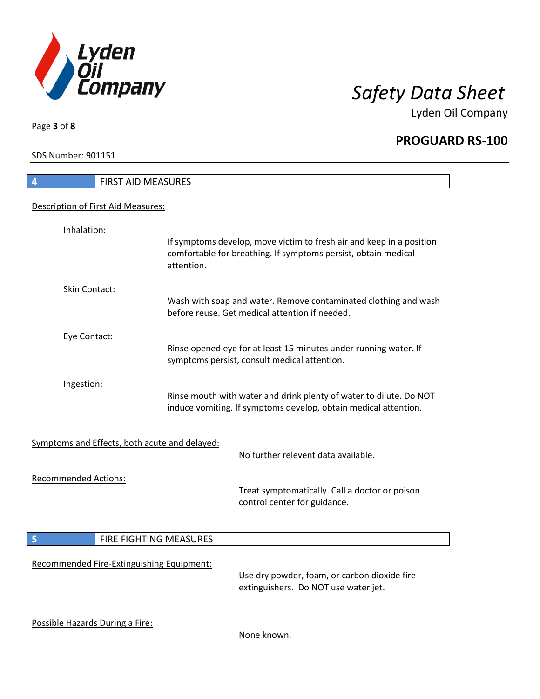

**PROGUARD RS-100**

SDS Number: 901151

Page **3** of **8**

| FIRST AID MEASURES<br>$\overline{4}$          |                        |                                                                                                                                        |
|-----------------------------------------------|------------------------|----------------------------------------------------------------------------------------------------------------------------------------|
| Description of First Aid Measures:            |                        |                                                                                                                                        |
|                                               |                        |                                                                                                                                        |
| Inhalation:                                   | attention.             | If symptoms develop, move victim to fresh air and keep in a position<br>comfortable for breathing. If symptoms persist, obtain medical |
| <b>Skin Contact:</b>                          |                        |                                                                                                                                        |
|                                               |                        | Wash with soap and water. Remove contaminated clothing and wash<br>before reuse. Get medical attention if needed.                      |
| Eye Contact:                                  |                        |                                                                                                                                        |
|                                               |                        | Rinse opened eye for at least 15 minutes under running water. If<br>symptoms persist, consult medical attention.                       |
| Ingestion:                                    |                        | Rinse mouth with water and drink plenty of water to dilute. Do NOT<br>induce vomiting. If symptoms develop, obtain medical attention.  |
| Symptoms and Effects, both acute and delayed: |                        | No further relevent data available.                                                                                                    |
| <b>Recommended Actions:</b>                   |                        | Treat symptomatically. Call a doctor or poison<br>control center for guidance.                                                         |
| 5                                             | FIRE FIGHTING MEASURES |                                                                                                                                        |
| Recommended Fire-Extinguishing Equipment:     |                        | Use dry powder, foam, or carbon dioxide fire<br>extinguishers. Do NOT use water jet.                                                   |
| Possible Hazards During a Fire:               |                        | None known.                                                                                                                            |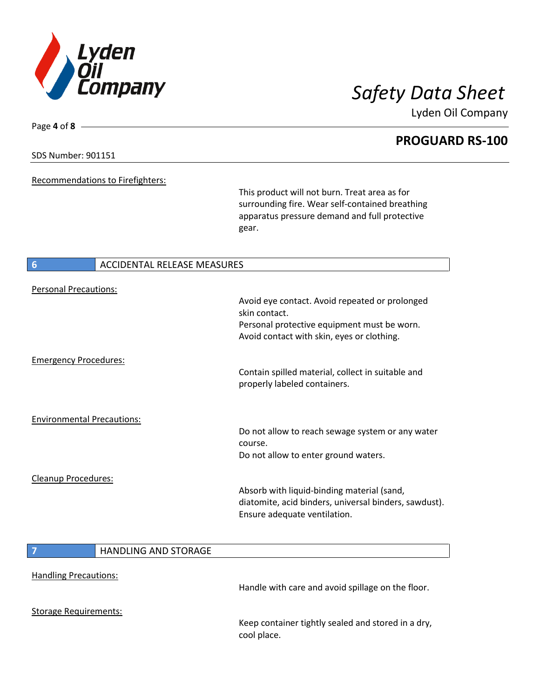

**PROGUARD RS-100**

## SDS Number: 901151

Page **4** of **8**

Recommendations to Firefighters:

This product will not burn. Treat area as for surrounding fire. Wear self-contained breathing apparatus pressure demand and full protective gear.

### **6** ACCIDENTAL RELEASE MEASURES

| <b>Personal Precautions:</b>      |                             | Avoid eye contact. Avoid repeated or prolonged                                                                                      |
|-----------------------------------|-----------------------------|-------------------------------------------------------------------------------------------------------------------------------------|
|                                   |                             | skin contact.                                                                                                                       |
|                                   |                             | Personal protective equipment must be worn.<br>Avoid contact with skin, eyes or clothing.                                           |
| <b>Emergency Procedures:</b>      |                             |                                                                                                                                     |
|                                   |                             | Contain spilled material, collect in suitable and<br>properly labeled containers.                                                   |
|                                   |                             |                                                                                                                                     |
| <b>Environmental Precautions:</b> |                             | Do not allow to reach sewage system or any water                                                                                    |
|                                   |                             | course.<br>Do not allow to enter ground waters.                                                                                     |
| Cleanup Procedures:               |                             |                                                                                                                                     |
|                                   |                             | Absorb with liquid-binding material (sand,<br>diatomite, acid binders, universal binders, sawdust).<br>Ensure adequate ventilation. |
|                                   |                             |                                                                                                                                     |
| 7                                 | <b>HANDLING AND STORAGE</b> |                                                                                                                                     |
| <b>Handling Precautions:</b>      |                             |                                                                                                                                     |
|                                   |                             | Handle with care and avoid spillage on the floor.                                                                                   |
| <b>Storage Requirements:</b>      |                             |                                                                                                                                     |
|                                   |                             | Keep container tightly sealed and stored in a dry,<br>cool place.                                                                   |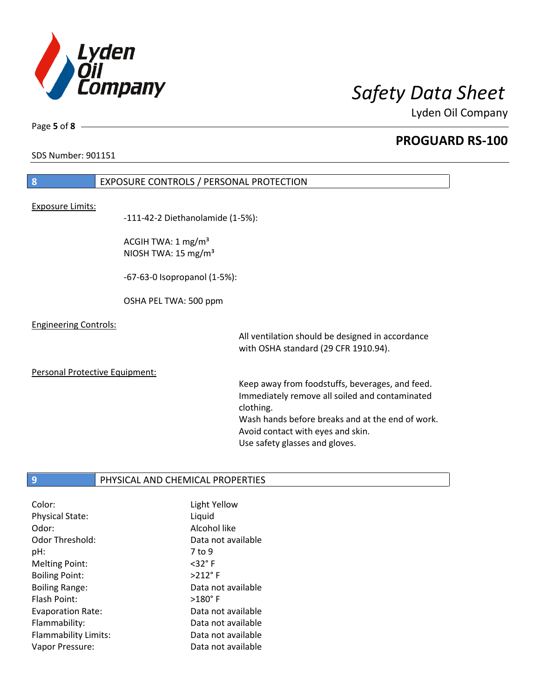

**PROGUARD RS-100**

SDS Number: 901151

# **8** EXPOSURE CONTROLS / PERSONAL PROTECTION

### Exposure Limits:

-111-42-2 Diethanolamide (1-5%):

ACGIH TWA: 1 mg/m³ NIOSH TWA: 15 mg/m³

-67-63-0 Isopropanol (1-5%):

OSHA PEL TWA: 500 ppm

### Engineering Controls:

All ventilation should be designed in accordance with OSHA standard (29 CFR 1910.94).

### Personal Protective Equipment:

Keep away from foodstuffs, beverages, and feed. Immediately remove all soiled and contaminated clothing. Wash hands before breaks and at the end of work. Avoid contact with eyes and skin. Use safety glasses and gloves.

### **9** PHYSICAL AND CHEMICAL PROPERTIES

| Color:                 | Light Yellow       |
|------------------------|--------------------|
| <b>Physical State:</b> | Liquid             |
| Odor:                  | Alcohol like       |
| Odor Threshold:        | Data not available |
| pH:                    | 7 to 9             |
| <b>Melting Point:</b>  | $<$ 32 $\degree$ F |
| <b>Boiling Point:</b>  | $>212^\circ$ F     |
| <b>Boiling Range:</b>  | Data not available |
| Flash Point:           | $>180^\circ$ F     |
| Evaporation Rate:      | Data not available |
| Flammability:          | Data not available |
| Flammability Limits:   | Data not available |
| Vapor Pressure:        | Data not available |

Page **5** of **8**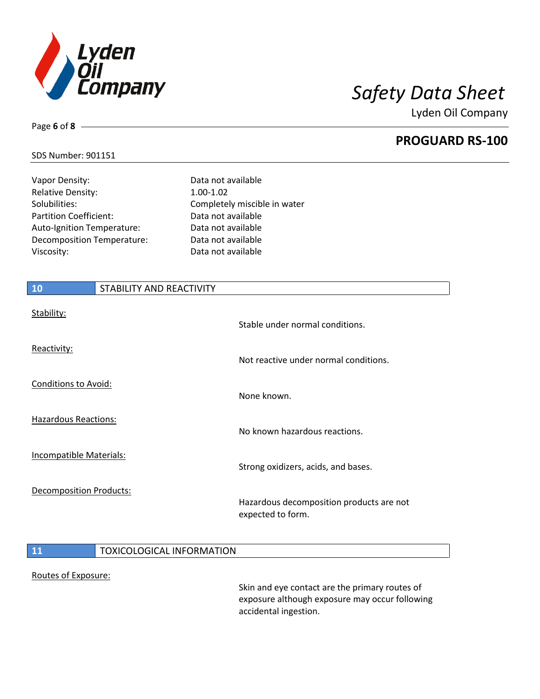

**PROGUARD RS-100**

### SDS Number: 901151

Page **6** of **8**

Vapor Density: Data not available Relative Density: 1.00-1.02 Solubilities: Completely miscible in water Partition Coefficient: Data not available Auto-Ignition Temperature: Data not available Decomposition Temperature: Data not available Viscosity: Data not available

# **10** STABILITY AND REACTIVITY Stability: Stable under normal conditions. Reactivity: Not reactive under normal conditions. Conditions to Avoid: None known. Hazardous Reactions: No known hazardous reactions. Incompatible Materials: Strong oxidizers, acids, and bases.

Decomposition Products:

### Hazardous decomposition products are not expected to form.

### **11** TOXICOLOGICAL INFORMATION

### Routes of Exposure:

Skin and eye contact are the primary routes of exposure although exposure may occur following accidental ingestion.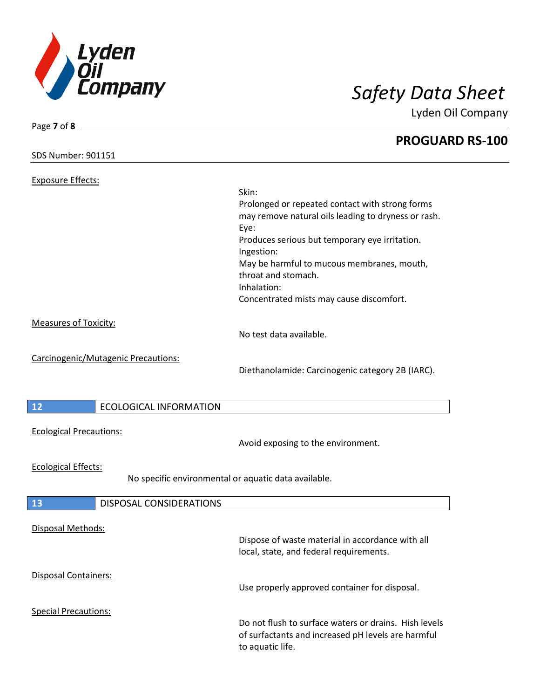

| Page 7 of 8 -                        |                                                       |  |
|--------------------------------------|-------------------------------------------------------|--|
| <b>SDS Number: 901151</b>            | <b>PROGUARD RS-100</b>                                |  |
| <b>Exposure Effects:</b>             |                                                       |  |
|                                      | Skin:                                                 |  |
|                                      | Prolonged or repeated contact with strong forms       |  |
|                                      | may remove natural oils leading to dryness or rash.   |  |
|                                      | Eye:                                                  |  |
|                                      | Produces serious but temporary eye irritation.        |  |
|                                      | Ingestion:                                            |  |
|                                      | May be harmful to mucous membranes, mouth,            |  |
|                                      | throat and stomach.                                   |  |
|                                      | Inhalation:                                           |  |
|                                      | Concentrated mists may cause discomfort.              |  |
| <b>Measures of Toxicity:</b>         |                                                       |  |
|                                      | No test data available.                               |  |
|                                      |                                                       |  |
| Carcinogenic/Mutagenic Precautions:  |                                                       |  |
|                                      | Diethanolamide: Carcinogenic category 2B (IARC).      |  |
|                                      |                                                       |  |
| 12<br><b>ECOLOGICAL INFORMATION</b>  |                                                       |  |
|                                      |                                                       |  |
| <b>Ecological Precautions:</b>       |                                                       |  |
|                                      | Avoid exposing to the environment.                    |  |
| <b>Ecological Effects:</b>           |                                                       |  |
|                                      | No specific environmental or aquatic data available.  |  |
|                                      |                                                       |  |
| <b>DISPOSAL CONSIDERATIONS</b><br>13 |                                                       |  |
|                                      |                                                       |  |
| Disposal Methods:                    | Dispose of waste material in accordance with all      |  |
|                                      | local, state, and federal requirements.               |  |
|                                      |                                                       |  |
| Disposal Containers:                 |                                                       |  |
|                                      | Use properly approved container for disposal.         |  |
|                                      |                                                       |  |
| <b>Special Precautions:</b>          | Do not flush to surface waters or drains. Hish levels |  |
|                                      | of surfactants and increased pH levels are harmful    |  |
|                                      | to aquatic life.                                      |  |
|                                      |                                                       |  |